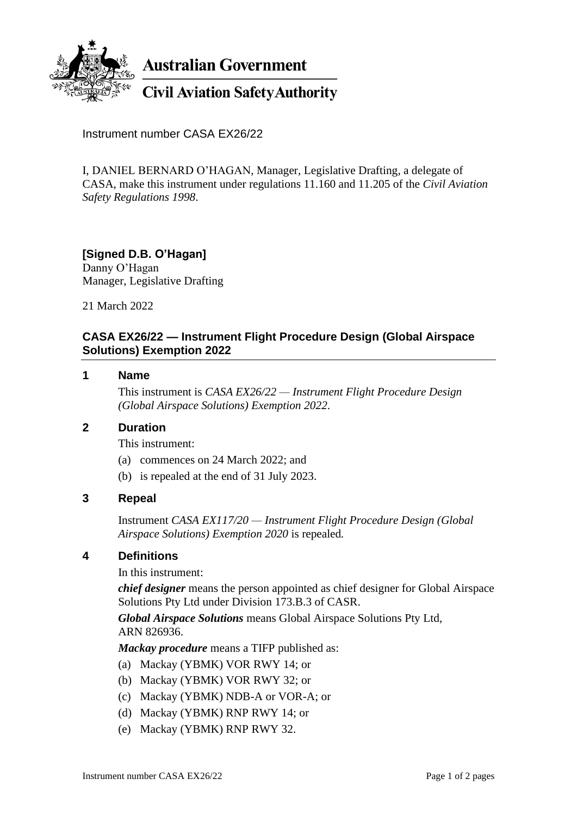

**Australian Government** 

# **Civil Aviation Safety Authority**

Instrument number CASA EX26/22

I, DANIEL BERNARD O'HAGAN, Manager, Legislative Drafting, a delegate of CASA, make this instrument under regulations 11.160 and 11.205 of the *Civil Aviation Safety Regulations 1998*.

#### **[Signed D.B. O'Hagan]** Danny O'Hagan

Manager, Legislative Drafting

21 March 2022

### **CASA EX26/22 — Instrument Flight Procedure Design (Global Airspace Solutions) Exemption 2022**

#### **1 Name**

This instrument is *CASA EX26/22 — Instrument Flight Procedure Design (Global Airspace Solutions) Exemption 2022*.

#### **2 Duration**

This instrument:

- (a) commences on 24 March 2022; and
- (b) is repealed at the end of 31 July 2023.

#### **3 Repeal**

Instrument *CASA EX117/20 — Instrument Flight Procedure Design (Global Airspace Solutions) Exemption 2020* is repealed*.*

#### **4 Definitions**

In this instrument:

*chief designer* means the person appointed as chief designer for Global Airspace Solutions Pty Ltd under Division 173.B.3 of CASR.

*Global Airspace Solutions* means Global Airspace Solutions Pty Ltd, ARN 826936.

*Mackay procedure* means a TIFP published as:

- (a) Mackay (YBMK) VOR RWY 14; or
- (b) Mackay (YBMK) VOR RWY 32; or
- (c) Mackay (YBMK) NDB-A or VOR-A; or
- (d) Mackay (YBMK) RNP RWY 14; or
- (e) Mackay (YBMK) RNP RWY 32.